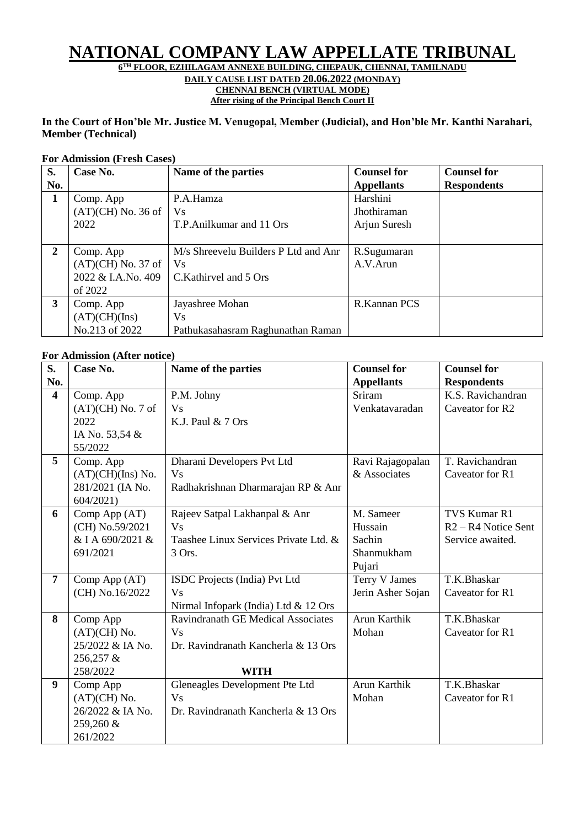# **NATIONAL COMPANY LAW APPELLATE TRIBUNAL**

**6 TH FLOOR, EZHILAGAM ANNEXE BUILDING, CHEPAUK, CHENNAI, TAMILNADU**

**DAILY CAUSE LIST DATED 20.06.2022 (MONDAY)**

**CHENNAI BENCH (VIRTUAL MODE) After rising of the Principal Bench Court II**

### **In the Court of Hon'ble Mr. Justice M. Venugopal, Member (Judicial), and Hon'ble Mr. Kanthi Narahari, Member (Technical)**

#### **For Admission (Fresh Cases)**

| S.           | Case No.             | Name of the parties                  | <b>Counsel for</b> | <b>Counsel for</b> |
|--------------|----------------------|--------------------------------------|--------------------|--------------------|
| No.          |                      |                                      | <b>Appellants</b>  | <b>Respondents</b> |
| 1            | Comp. App            | P.A.Hamza                            | Harshini           |                    |
|              | $(AT)(CH)$ No. 36 of | <b>Vs</b>                            | Jhothiraman        |                    |
|              | 2022                 | T.P. Anilkumar and 11 Ors            | Arjun Suresh       |                    |
|              |                      |                                      |                    |                    |
| $\mathbf{2}$ | Comp. App            | M/s Shreevelu Builders P Ltd and Anr | R.Sugumaran        |                    |
|              | $(AT)(CH)$ No. 37 of | <b>Vs</b>                            | A.V.Arun           |                    |
|              | 2022 & I.A.No. 409   | C.Kathirvel and 5 Ors                |                    |                    |
|              | of 2022              |                                      |                    |                    |
| 3            | Comp. App            | Jayashree Mohan                      | R.Kannan PCS       |                    |
|              | (AT)(CH)(Ins)        | <b>V</b> s                           |                    |                    |
|              | No.213 of 2022       | Pathukasahasram Raghunathan Raman    |                    |                    |

### **For Admission (After notice)**

| S.                      | Case No.            | Name of the parties                       | <b>Counsel for</b> | <b>Counsel for</b>    |
|-------------------------|---------------------|-------------------------------------------|--------------------|-----------------------|
| No.                     |                     |                                           | <b>Appellants</b>  | <b>Respondents</b>    |
| $\overline{\mathbf{4}}$ | Comp. App           | P.M. Johny                                | Sriram             | K.S. Ravichandran     |
|                         | $(AT)(CH)$ No. 7 of | <b>Vs</b>                                 | Venkatavaradan     | Caveator for R2       |
|                         | 2022                | K.J. Paul $& 7$ Ors                       |                    |                       |
|                         | IA No. 53,54 &      |                                           |                    |                       |
|                         | 55/2022             |                                           |                    |                       |
| 5                       | Comp. App           | Dharani Developers Pvt Ltd                | Ravi Rajagopalan   | T. Ravichandran       |
|                         | $(AT)(CH)(Ins)$ No. | <b>Vs</b>                                 | & Associates       | Caveator for R1       |
|                         | 281/2021 (IA No.    | Radhakrishnan Dharmarajan RP & Anr        |                    |                       |
|                         | 604/2021            |                                           |                    |                       |
| 6                       | Comp App (AT)       | Rajeev Satpal Lakhanpal & Anr             | M. Sameer          | TVS Kumar R1          |
|                         | (CH) No.59/2021     | $V_s$                                     | Hussain            | $R2 - R4$ Notice Sent |
|                         | & I A 690/2021 &    | Taashee Linux Services Private Ltd. &     | Sachin             | Service awaited.      |
|                         | 691/2021            | 3 Ors.                                    | Shanmukham         |                       |
|                         |                     |                                           | Pujari             |                       |
| $\overline{7}$          | Comp App (AT)       | ISDC Projects (India) Pvt Ltd             | Terry V James      | T.K.Bhaskar           |
|                         | (CH) No.16/2022     | <b>Vs</b>                                 | Jerin Asher Sojan  | Caveator for R1       |
|                         |                     | Nirmal Infopark (India) Ltd & 12 Ors      |                    |                       |
| 8                       | Comp App            | <b>Ravindranath GE Medical Associates</b> | Arun Karthik       | T.K.Bhaskar           |
|                         | $(AT)(CH)$ No.      | <b>Vs</b>                                 | Mohan              | Caveator for R1       |
|                         | 25/2022 & IA No.    | Dr. Ravindranath Kancherla & 13 Ors       |                    |                       |
|                         | 256,257 &           |                                           |                    |                       |
|                         | 258/2022            | <b>WITH</b>                               |                    |                       |
| $\boldsymbol{9}$        | Comp App            | Gleneagles Development Pte Ltd            | Arun Karthik       | T.K.Bhaskar           |
|                         | $(AT)(CH)$ No.      | <b>Vs</b>                                 | Mohan              | Caveator for R1       |
|                         | 26/2022 & IA No.    | Dr. Ravindranath Kancherla & 13 Ors       |                    |                       |
|                         | 259,260 &           |                                           |                    |                       |
|                         | 261/2022            |                                           |                    |                       |